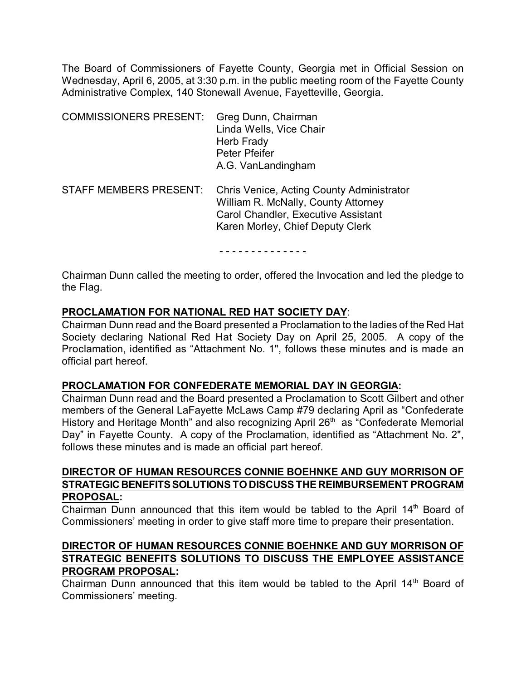The Board of Commissioners of Fayette County, Georgia met in Official Session on Wednesday, April 6, 2005, at 3:30 p.m. in the public meeting room of the Fayette County Administrative Complex, 140 Stonewall Avenue, Fayetteville, Georgia.

| <b>COMMISSIONERS PRESENT:</b> | Greg Dunn, Chairman<br>Linda Wells, Vice Chair<br>Herb Frady<br>Peter Pfeifer<br>A.G. VanLandingham                                                         |
|-------------------------------|-------------------------------------------------------------------------------------------------------------------------------------------------------------|
| <b>STAFF MEMBERS PRESENT:</b> | Chris Venice, Acting County Administrator<br>William R. McNally, County Attorney<br>Carol Chandler, Executive Assistant<br>Karen Morley, Chief Deputy Clerk |

- - - - - - - - - - - - - -

Chairman Dunn called the meeting to order, offered the Invocation and led the pledge to the Flag.

### **PROCLAMATION FOR NATIONAL RED HAT SOCIETY DAY**:

Chairman Dunn read and the Board presented a Proclamation to the ladies of the Red Hat Society declaring National Red Hat Society Day on April 25, 2005. A copy of the Proclamation, identified as "Attachment No. 1", follows these minutes and is made an official part hereof.

### **PROCLAMATION FOR CONFEDERATE MEMORIAL DAY IN GEORGIA:**

Chairman Dunn read and the Board presented a Proclamation to Scott Gilbert and other members of the General LaFayette McLaws Camp #79 declaring April as "Confederate History and Heritage Month" and also recognizing April  $26<sup>th</sup>$  as "Confederate Memorial Day" in Fayette County. A copy of the Proclamation, identified as "Attachment No. 2", follows these minutes and is made an official part hereof.

## **DIRECTOR OF HUMAN RESOURCES CONNIE BOEHNKE AND GUY MORRISON OF STRATEGIC BENEFITS SOLUTIONS TO DISCUSS THE REIMBURSEMENT PROGRAM PROPOSAL:**

Chairman Dunn announced that this item would be tabled to the April  $14<sup>th</sup>$  Board of Commissioners' meeting in order to give staff more time to prepare their presentation.

## **DIRECTOR OF HUMAN RESOURCES CONNIE BOEHNKE AND GUY MORRISON OF STRATEGIC BENEFITS SOLUTIONS TO DISCUSS THE EMPLOYEE ASSISTANCE PROGRAM PROPOSAL:**

Chairman Dunn announced that this item would be tabled to the April 14<sup>th</sup> Board of Commissioners' meeting.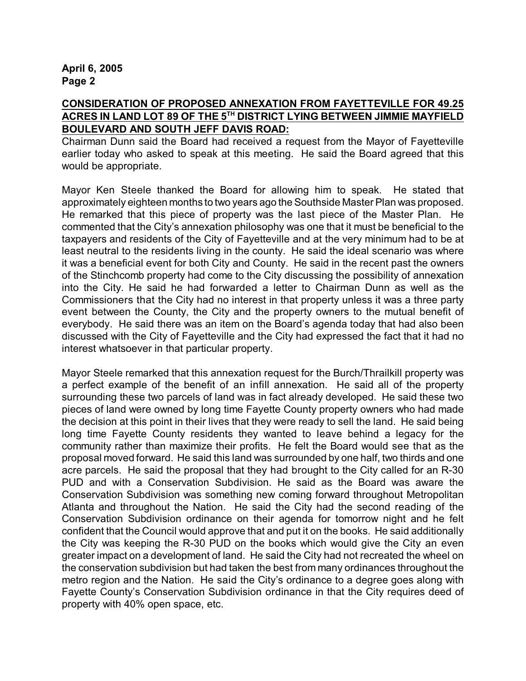### **CONSIDERATION OF PROPOSED ANNEXATION FROM FAYETTEVILLE FOR 49.25 ACRES IN LAND LOT 89 OF THE 5<sup>TH</sup> DISTRICT LYING BETWEEN JIMMIE MAYFIELD BOULEVARD AND SOUTH JEFF DAVIS ROAD:**

Chairman Dunn said the Board had received a request from the Mayor of Fayetteville earlier today who asked to speak at this meeting. He said the Board agreed that this would be appropriate.

Mayor Ken Steele thanked the Board for allowing him to speak. He stated that approximately eighteen months to two years ago the Southside Master Plan was proposed. He remarked that this piece of property was the last piece of the Master Plan. He commented that the City's annexation philosophy was one that it must be beneficial to the taxpayers and residents of the City of Fayetteville and at the very minimum had to be at least neutral to the residents living in the county. He said the ideal scenario was where it was a beneficial event for both City and County. He said in the recent past the owners of the Stinchcomb property had come to the City discussing the possibility of annexation into the City. He said he had forwarded a letter to Chairman Dunn as well as the Commissioners that the City had no interest in that property unless it was a three party event between the County, the City and the property owners to the mutual benefit of everybody. He said there was an item on the Board's agenda today that had also been discussed with the City of Fayetteville and the City had expressed the fact that it had no interest whatsoever in that particular property.

Mayor Steele remarked that this annexation request for the Burch/Thrailkill property was a perfect example of the benefit of an infill annexation. He said all of the property surrounding these two parcels of land was in fact already developed. He said these two pieces of land were owned by long time Fayette County property owners who had made the decision at this point in their lives that they were ready to sell the land. He said being long time Fayette County residents they wanted to leave behind a legacy for the community rather than maximize their profits. He felt the Board would see that as the proposal moved forward. He said this land was surrounded by one half, two thirds and one acre parcels. He said the proposal that they had brought to the City called for an R-30 PUD and with a Conservation Subdivision. He said as the Board was aware the Conservation Subdivision was something new coming forward throughout Metropolitan Atlanta and throughout the Nation. He said the City had the second reading of the Conservation Subdivision ordinance on their agenda for tomorrow night and he felt confident that the Council would approve that and put it on the books. He said additionally the City was keeping the R-30 PUD on the books which would give the City an even greater impact on a development of land. He said the City had not recreated the wheel on the conservation subdivision but had taken the best from many ordinances throughout the metro region and the Nation. He said the City's ordinance to a degree goes along with Fayette County's Conservation Subdivision ordinance in that the City requires deed of property with 40% open space, etc.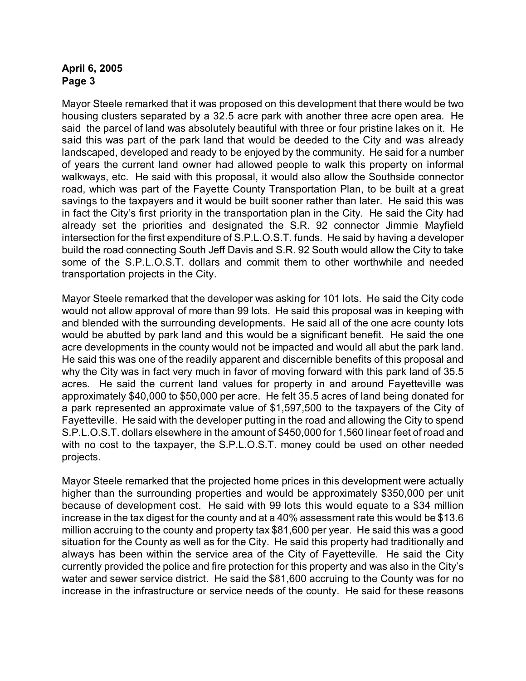Mayor Steele remarked that it was proposed on this development that there would be two housing clusters separated by a 32.5 acre park with another three acre open area. He said the parcel of land was absolutely beautiful with three or four pristine lakes on it. He said this was part of the park land that would be deeded to the City and was already landscaped, developed and ready to be enjoyed by the community. He said for a number of years the current land owner had allowed people to walk this property on informal walkways, etc. He said with this proposal, it would also allow the Southside connector road, which was part of the Fayette County Transportation Plan, to be built at a great savings to the taxpayers and it would be built sooner rather than later. He said this was in fact the City's first priority in the transportation plan in the City. He said the City had already set the priorities and designated the S.R. 92 connector Jimmie Mayfield intersection for the first expenditure of S.P.L.O.S.T. funds. He said by having a developer build the road connecting South Jeff Davis and S.R. 92 South would allow the City to take some of the S.P.L.O.S.T. dollars and commit them to other worthwhile and needed transportation projects in the City.

Mayor Steele remarked that the developer was asking for 101 lots. He said the City code would not allow approval of more than 99 lots. He said this proposal was in keeping with and blended with the surrounding developments. He said all of the one acre county lots would be abutted by park land and this would be a significant benefit. He said the one acre developments in the county would not be impacted and would all abut the park land. He said this was one of the readily apparent and discernible benefits of this proposal and why the City was in fact very much in favor of moving forward with this park land of 35.5 acres. He said the current land values for property in and around Fayetteville was approximately \$40,000 to \$50,000 per acre. He felt 35.5 acres of land being donated for a park represented an approximate value of \$1,597,500 to the taxpayers of the City of Fayetteville. He said with the developer putting in the road and allowing the City to spend S.P.L.O.S.T. dollars elsewhere in the amount of \$450,000 for 1,560 linear feet of road and with no cost to the taxpayer, the S.P.L.O.S.T. money could be used on other needed projects.

Mayor Steele remarked that the projected home prices in this development were actually higher than the surrounding properties and would be approximately \$350,000 per unit because of development cost. He said with 99 lots this would equate to a \$34 million increase in the tax digest for the county and at a 40% assessment rate this would be \$13.6 million accruing to the county and property tax \$81,600 per year. He said this was a good situation for the County as well as for the City. He said this property had traditionally and always has been within the service area of the City of Fayetteville. He said the City currently provided the police and fire protection for this property and was also in the City's water and sewer service district. He said the \$81,600 accruing to the County was for no increase in the infrastructure or service needs of the county. He said for these reasons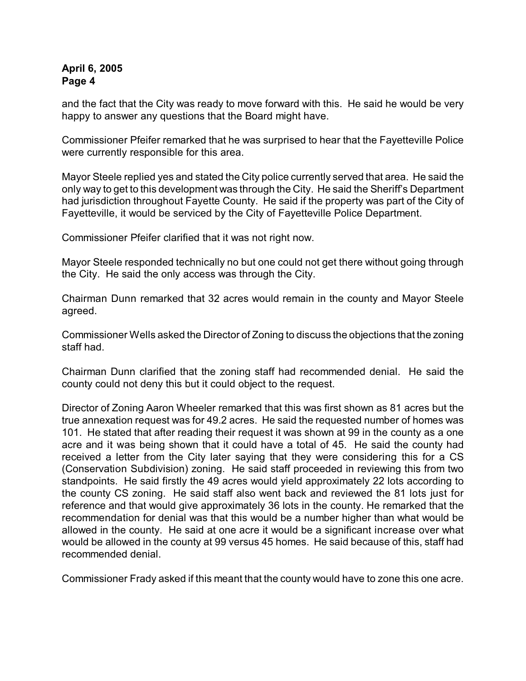and the fact that the City was ready to move forward with this. He said he would be very happy to answer any questions that the Board might have.

Commissioner Pfeifer remarked that he was surprised to hear that the Fayetteville Police were currently responsible for this area.

Mayor Steele replied yes and stated the City police currently served that area. He said the only way to get to this development was through the City. He said the Sheriff's Department had jurisdiction throughout Fayette County. He said if the property was part of the City of Fayetteville, it would be serviced by the City of Fayetteville Police Department.

Commissioner Pfeifer clarified that it was not right now.

Mayor Steele responded technically no but one could not get there without going through the City. He said the only access was through the City.

Chairman Dunn remarked that 32 acres would remain in the county and Mayor Steele agreed.

Commissioner Wells asked the Director of Zoning to discuss the objections that the zoning staff had.

Chairman Dunn clarified that the zoning staff had recommended denial. He said the county could not deny this but it could object to the request.

Director of Zoning Aaron Wheeler remarked that this was first shown as 81 acres but the true annexation request was for 49.2 acres. He said the requested number of homes was 101. He stated that after reading their request it was shown at 99 in the county as a one acre and it was being shown that it could have a total of 45. He said the county had received a letter from the City later saying that they were considering this for a CS (Conservation Subdivision) zoning. He said staff proceeded in reviewing this from two standpoints. He said firstly the 49 acres would yield approximately 22 lots according to the county CS zoning. He said staff also went back and reviewed the 81 lots just for reference and that would give approximately 36 lots in the county. He remarked that the recommendation for denial was that this would be a number higher than what would be allowed in the county. He said at one acre it would be a significant increase over what would be allowed in the county at 99 versus 45 homes. He said because of this, staff had recommended denial.

Commissioner Frady asked if this meant that the county would have to zone this one acre.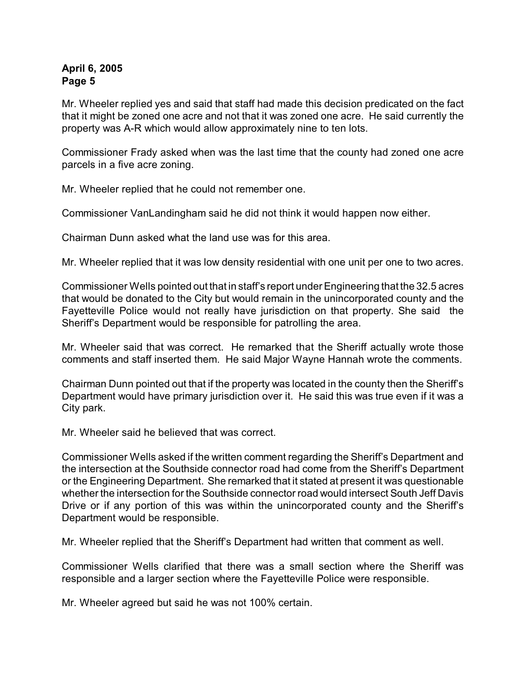Mr. Wheeler replied yes and said that staff had made this decision predicated on the fact that it might be zoned one acre and not that it was zoned one acre. He said currently the property was A-R which would allow approximately nine to ten lots.

Commissioner Frady asked when was the last time that the county had zoned one acre parcels in a five acre zoning.

Mr. Wheeler replied that he could not remember one.

Commissioner VanLandingham said he did not think it would happen now either.

Chairman Dunn asked what the land use was for this area.

Mr. Wheeler replied that it was low density residential with one unit per one to two acres.

Commissioner Wells pointed out that in staff's report under Engineering that the 32.5 acres that would be donated to the City but would remain in the unincorporated county and the Fayetteville Police would not really have jurisdiction on that property. She said the Sheriff's Department would be responsible for patrolling the area.

Mr. Wheeler said that was correct. He remarked that the Sheriff actually wrote those comments and staff inserted them. He said Major Wayne Hannah wrote the comments.

Chairman Dunn pointed out that if the property was located in the county then the Sheriff's Department would have primary jurisdiction over it. He said this was true even if it was a City park.

Mr. Wheeler said he believed that was correct.

Commissioner Wells asked if the written comment regarding the Sheriff's Department and the intersection at the Southside connector road had come from the Sheriff's Department or the Engineering Department. She remarked that it stated at present it was questionable whether the intersection for the Southside connector road would intersect South Jeff Davis Drive or if any portion of this was within the unincorporated county and the Sheriff's Department would be responsible.

Mr. Wheeler replied that the Sheriff's Department had written that comment as well.

Commissioner Wells clarified that there was a small section where the Sheriff was responsible and a larger section where the Fayetteville Police were responsible.

Mr. Wheeler agreed but said he was not 100% certain.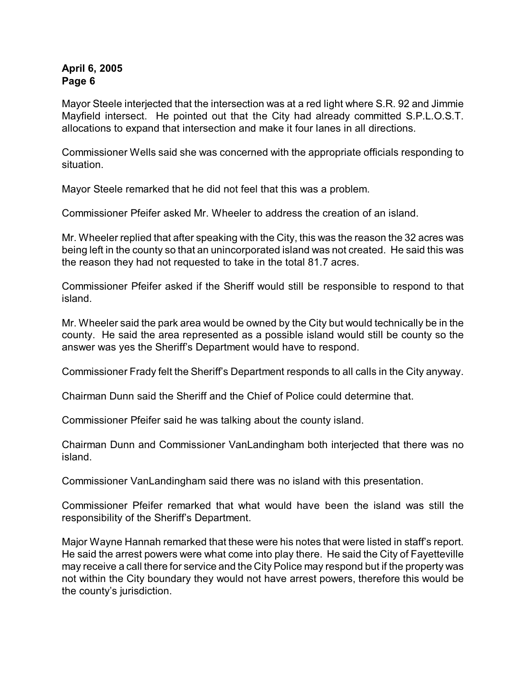Mayor Steele interjected that the intersection was at a red light where S.R. 92 and Jimmie Mayfield intersect. He pointed out that the City had already committed S.P.L.O.S.T. allocations to expand that intersection and make it four lanes in all directions.

Commissioner Wells said she was concerned with the appropriate officials responding to situation.

Mayor Steele remarked that he did not feel that this was a problem.

Commissioner Pfeifer asked Mr. Wheeler to address the creation of an island.

Mr. Wheeler replied that after speaking with the City, this was the reason the 32 acres was being left in the county so that an unincorporated island was not created. He said this was the reason they had not requested to take in the total 81.7 acres.

Commissioner Pfeifer asked if the Sheriff would still be responsible to respond to that island.

Mr. Wheeler said the park area would be owned by the City but would technically be in the county. He said the area represented as a possible island would still be county so the answer was yes the Sheriff's Department would have to respond.

Commissioner Frady felt the Sheriff's Department responds to all calls in the City anyway.

Chairman Dunn said the Sheriff and the Chief of Police could determine that.

Commissioner Pfeifer said he was talking about the county island.

Chairman Dunn and Commissioner VanLandingham both interjected that there was no island.

Commissioner VanLandingham said there was no island with this presentation.

Commissioner Pfeifer remarked that what would have been the island was still the responsibility of the Sheriff's Department.

Major Wayne Hannah remarked that these were his notes that were listed in staff's report. He said the arrest powers were what come into play there. He said the City of Fayetteville may receive a call there for service and the City Police may respond but if the property was not within the City boundary they would not have arrest powers, therefore this would be the county's jurisdiction.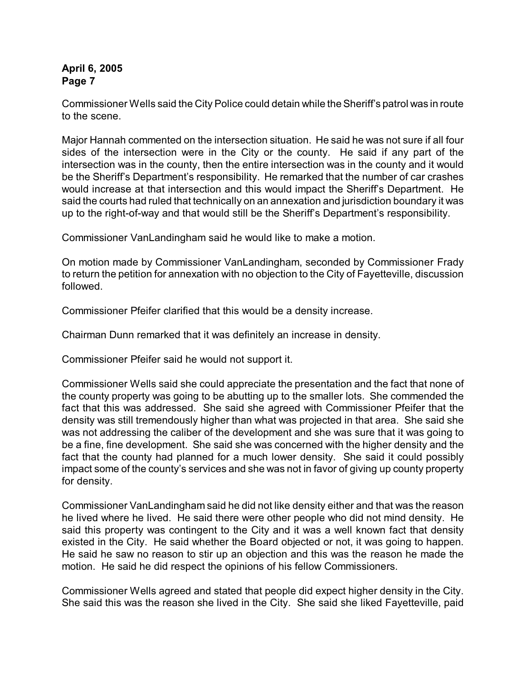Commissioner Wells said the City Police could detain while the Sheriff's patrol was in route to the scene.

Major Hannah commented on the intersection situation. He said he was not sure if all four sides of the intersection were in the City or the county. He said if any part of the intersection was in the county, then the entire intersection was in the county and it would be the Sheriff's Department's responsibility. He remarked that the number of car crashes would increase at that intersection and this would impact the Sheriff's Department. He said the courts had ruled that technically on an annexation and jurisdiction boundary it was up to the right-of-way and that would still be the Sheriff's Department's responsibility.

Commissioner VanLandingham said he would like to make a motion.

On motion made by Commissioner VanLandingham, seconded by Commissioner Frady to return the petition for annexation with no objection to the City of Fayetteville, discussion followed.

Commissioner Pfeifer clarified that this would be a density increase.

Chairman Dunn remarked that it was definitely an increase in density.

Commissioner Pfeifer said he would not support it.

Commissioner Wells said she could appreciate the presentation and the fact that none of the county property was going to be abutting up to the smaller lots. She commended the fact that this was addressed. She said she agreed with Commissioner Pfeifer that the density was still tremendously higher than what was projected in that area. She said she was not addressing the caliber of the development and she was sure that it was going to be a fine, fine development. She said she was concerned with the higher density and the fact that the county had planned for a much lower density. She said it could possibly impact some of the county's services and she was not in favor of giving up county property for density.

Commissioner VanLandingham said he did not like density either and that was the reason he lived where he lived. He said there were other people who did not mind density. He said this property was contingent to the City and it was a well known fact that density existed in the City. He said whether the Board objected or not, it was going to happen. He said he saw no reason to stir up an objection and this was the reason he made the motion. He said he did respect the opinions of his fellow Commissioners.

Commissioner Wells agreed and stated that people did expect higher density in the City. She said this was the reason she lived in the City. She said she liked Fayetteville, paid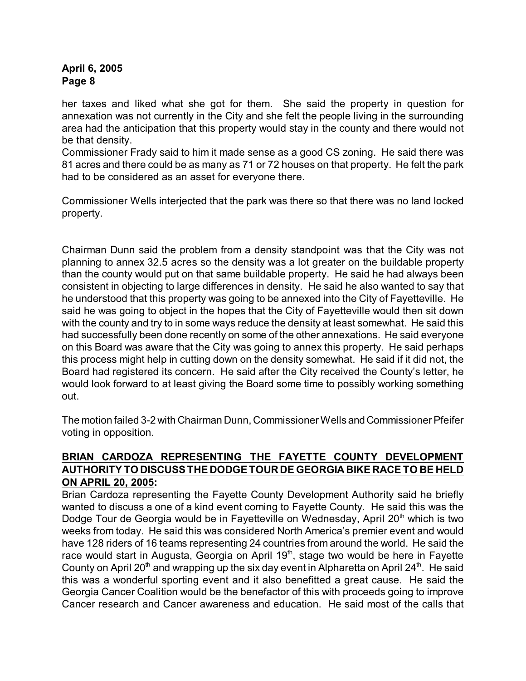her taxes and liked what she got for them. She said the property in question for annexation was not currently in the City and she felt the people living in the surrounding area had the anticipation that this property would stay in the county and there would not be that density.

Commissioner Frady said to him it made sense as a good CS zoning. He said there was 81 acres and there could be as many as 71 or 72 houses on that property. He felt the park had to be considered as an asset for everyone there.

Commissioner Wells interjected that the park was there so that there was no land locked property.

Chairman Dunn said the problem from a density standpoint was that the City was not planning to annex 32.5 acres so the density was a lot greater on the buildable property than the county would put on that same buildable property. He said he had always been consistent in objecting to large differences in density. He said he also wanted to say that he understood that this property was going to be annexed into the City of Fayetteville. He said he was going to object in the hopes that the City of Fayetteville would then sit down with the county and try to in some ways reduce the density at least somewhat. He said this had successfully been done recently on some of the other annexations. He said everyone on this Board was aware that the City was going to annex this property. He said perhaps this process might help in cutting down on the density somewhat. He said if it did not, the Board had registered its concern. He said after the City received the County's letter, he would look forward to at least giving the Board some time to possibly working something out.

The motion failed 3-2 with Chairman Dunn, Commissioner Wells and Commissioner Pfeifer voting in opposition.

# **BRIAN CARDOZA REPRESENTING THE FAYETTE COUNTY DEVELOPMENT AUTHORITY TO DISCUSSTHE DODGETOUR DE GEORGIA BIKE RACE TO BE HELD ON APRIL 20, 2005:**

Brian Cardoza representing the Fayette County Development Authority said he briefly wanted to discuss a one of a kind event coming to Fayette County. He said this was the Dodge Tour de Georgia would be in Fayetteville on Wednesday, April 20<sup>th</sup> which is two weeks from today. He said this was considered North America's premier event and would have 128 riders of 16 teams representing 24 countries from around the world. He said the race would start in Augusta, Georgia on April 19<sup>th</sup>, stage two would be here in Fayette County on April 20<sup>th</sup> and wrapping up the six day event in Alpharetta on April 24<sup>th</sup>. He said this was a wonderful sporting event and it also benefitted a great cause. He said the Georgia Cancer Coalition would be the benefactor of this with proceeds going to improve Cancer research and Cancer awareness and education. He said most of the calls that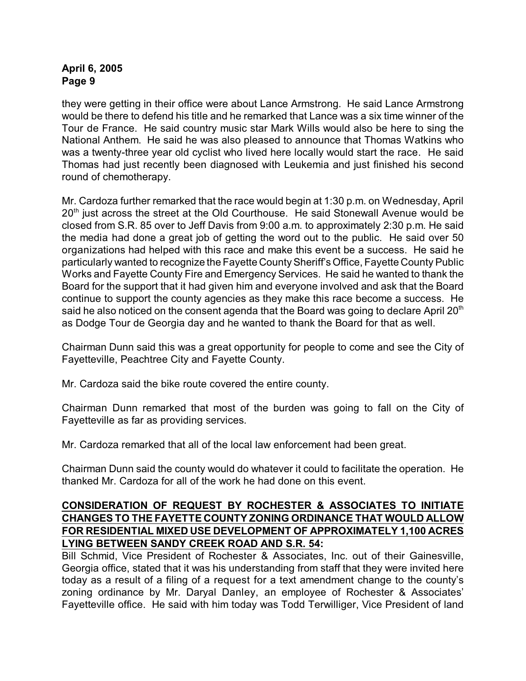they were getting in their office were about Lance Armstrong. He said Lance Armstrong would be there to defend his title and he remarked that Lance was a six time winner of the Tour de France. He said country music star Mark Wills would also be here to sing the National Anthem. He said he was also pleased to announce that Thomas Watkins who was a twenty-three year old cyclist who lived here locally would start the race. He said Thomas had just recently been diagnosed with Leukemia and just finished his second round of chemotherapy.

Mr. Cardoza further remarked that the race would begin at 1:30 p.m. on Wednesday, April  $20<sup>th</sup>$  just across the street at the Old Courthouse. He said Stonewall Avenue would be closed from S.R. 85 over to Jeff Davis from 9:00 a.m. to approximately 2:30 p.m. He said the media had done a great job of getting the word out to the public. He said over 50 organizations had helped with this race and make this event be a success. He said he particularly wanted to recognize the Fayette CountySheriff's Office, Fayette County Public Works and Fayette County Fire and Emergency Services. He said he wanted to thank the Board for the support that it had given him and everyone involved and ask that the Board continue to support the county agencies as they make this race become a success. He said he also noticed on the consent agenda that the Board was going to declare April  $20<sup>th</sup>$ as Dodge Tour de Georgia day and he wanted to thank the Board for that as well.

Chairman Dunn said this was a great opportunity for people to come and see the City of Fayetteville, Peachtree City and Fayette County.

Mr. Cardoza said the bike route covered the entire county.

Chairman Dunn remarked that most of the burden was going to fall on the City of Fayetteville as far as providing services.

Mr. Cardoza remarked that all of the local law enforcement had been great.

Chairman Dunn said the county would do whatever it could to facilitate the operation. He thanked Mr. Cardoza for all of the work he had done on this event.

## **CONSIDERATION OF REQUEST BY ROCHESTER & ASSOCIATES TO INITIATE CHANGES TO THE FAYETTE COUNTY ZONING ORDINANCE THAT WOULD ALLOW FOR RESIDENTIAL MIXED USE DEVELOPMENT OF APPROXIMATELY 1,100 ACRES LYING BETWEEN SANDY CREEK ROAD AND S.R. 54:**

Bill Schmid, Vice President of Rochester & Associates, Inc. out of their Gainesville, Georgia office, stated that it was his understanding from staff that they were invited here today as a result of a filing of a request for a text amendment change to the county's zoning ordinance by Mr. Daryal Danley, an employee of Rochester & Associates' Fayetteville office. He said with him today was Todd Terwilliger, Vice President of land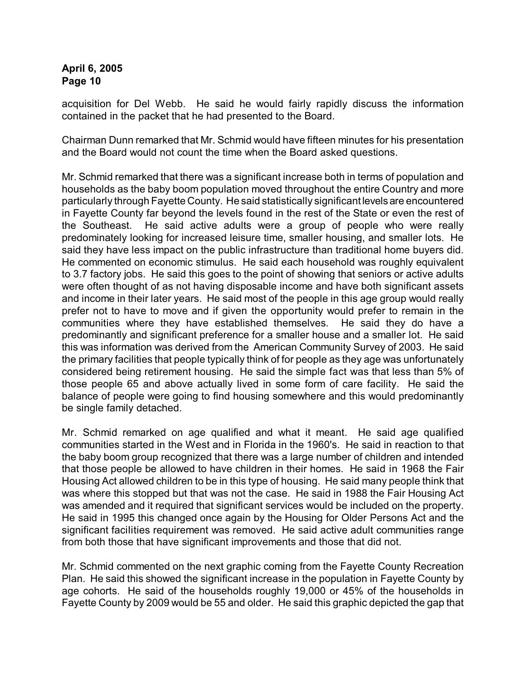acquisition for Del Webb. He said he would fairly rapidly discuss the information contained in the packet that he had presented to the Board.

Chairman Dunn remarked that Mr. Schmid would have fifteen minutes for his presentation and the Board would not count the time when the Board asked questions.

Mr. Schmid remarked that there was a significant increase both in terms of population and households as the baby boom population moved throughout the entire Country and more particularly through Fayette County. He said statistically significant levels are encountered in Fayette County far beyond the levels found in the rest of the State or even the rest of the Southeast. He said active adults were a group of people who were really predominately looking for increased leisure time, smaller housing, and smaller lots. He said they have less impact on the public infrastructure than traditional home buyers did. He commented on economic stimulus. He said each household was roughly equivalent to 3.7 factory jobs. He said this goes to the point of showing that seniors or active adults were often thought of as not having disposable income and have both significant assets and income in their later years. He said most of the people in this age group would really prefer not to have to move and if given the opportunity would prefer to remain in the communities where they have established themselves. He said they do have a predominantly and significant preference for a smaller house and a smaller lot. He said this was information was derived from the American Community Survey of 2003. He said the primary facilities that people typically think of for people as they age was unfortunately considered being retirement housing. He said the simple fact was that less than 5% of those people 65 and above actually lived in some form of care facility. He said the balance of people were going to find housing somewhere and this would predominantly be single family detached.

Mr. Schmid remarked on age qualified and what it meant. He said age qualified communities started in the West and in Florida in the 1960's. He said in reaction to that the baby boom group recognized that there was a large number of children and intended that those people be allowed to have children in their homes. He said in 1968 the Fair Housing Act allowed children to be in this type of housing. He said many people think that was where this stopped but that was not the case. He said in 1988 the Fair Housing Act was amended and it required that significant services would be included on the property. He said in 1995 this changed once again by the Housing for Older Persons Act and the significant facilities requirement was removed. He said active adult communities range from both those that have significant improvements and those that did not.

Mr. Schmid commented on the next graphic coming from the Fayette County Recreation Plan. He said this showed the significant increase in the population in Fayette County by age cohorts. He said of the households roughly 19,000 or 45% of the households in Fayette County by 2009 would be 55 and older. He said this graphic depicted the gap that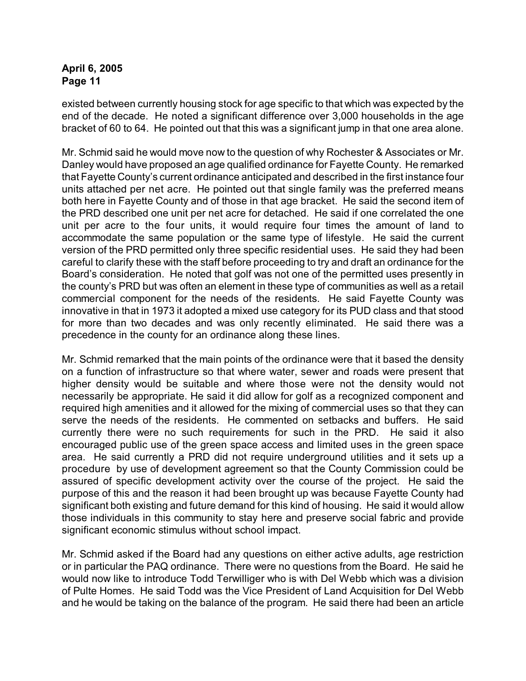existed between currently housing stock for age specific to that which was expected by the end of the decade. He noted a significant difference over 3,000 households in the age bracket of 60 to 64. He pointed out that this was a significant jump in that one area alone.

Mr. Schmid said he would move now to the question of why Rochester & Associates or Mr. Danley would have proposed an age qualified ordinance for Fayette County. He remarked that Fayette County's current ordinance anticipated and described in the first instance four units attached per net acre. He pointed out that single family was the preferred means both here in Fayette County and of those in that age bracket. He said the second item of the PRD described one unit per net acre for detached. He said if one correlated the one unit per acre to the four units, it would require four times the amount of land to accommodate the same population or the same type of lifestyle. He said the current version of the PRD permitted only three specific residential uses. He said they had been careful to clarify these with the staff before proceeding to try and draft an ordinance for the Board's consideration. He noted that golf was not one of the permitted uses presently in the county's PRD but was often an element in these type of communities as well as a retail commercial component for the needs of the residents. He said Fayette County was innovative in that in 1973 it adopted a mixed use category for its PUD class and that stood for more than two decades and was only recently eliminated. He said there was a precedence in the county for an ordinance along these lines.

Mr. Schmid remarked that the main points of the ordinance were that it based the density on a function of infrastructure so that where water, sewer and roads were present that higher density would be suitable and where those were not the density would not necessarily be appropriate. He said it did allow for golf as a recognized component and required high amenities and it allowed for the mixing of commercial uses so that they can serve the needs of the residents. He commented on setbacks and buffers. He said currently there were no such requirements for such in the PRD. He said it also encouraged public use of the green space access and limited uses in the green space area. He said currently a PRD did not require underground utilities and it sets up a procedure by use of development agreement so that the County Commission could be assured of specific development activity over the course of the project. He said the purpose of this and the reason it had been brought up was because Fayette County had significant both existing and future demand for this kind of housing. He said it would allow those individuals in this community to stay here and preserve social fabric and provide significant economic stimulus without school impact.

Mr. Schmid asked if the Board had any questions on either active adults, age restriction or in particular the PAQ ordinance. There were no questions from the Board. He said he would now like to introduce Todd Terwilliger who is with Del Webb which was a division of Pulte Homes. He said Todd was the Vice President of Land Acquisition for Del Webb and he would be taking on the balance of the program. He said there had been an article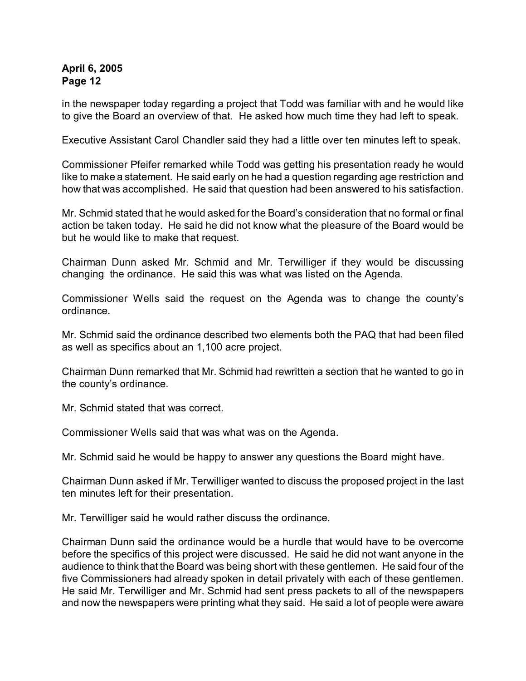in the newspaper today regarding a project that Todd was familiar with and he would like to give the Board an overview of that. He asked how much time they had left to speak.

Executive Assistant Carol Chandler said they had a little over ten minutes left to speak.

Commissioner Pfeifer remarked while Todd was getting his presentation ready he would like to make a statement. He said early on he had a question regarding age restriction and how that was accomplished. He said that question had been answered to his satisfaction.

Mr. Schmid stated that he would asked for the Board's consideration that no formal or final action be taken today. He said he did not know what the pleasure of the Board would be but he would like to make that request.

Chairman Dunn asked Mr. Schmid and Mr. Terwilliger if they would be discussing changing the ordinance. He said this was what was listed on the Agenda.

Commissioner Wells said the request on the Agenda was to change the county's ordinance.

Mr. Schmid said the ordinance described two elements both the PAQ that had been filed as well as specifics about an 1,100 acre project.

Chairman Dunn remarked that Mr. Schmid had rewritten a section that he wanted to go in the county's ordinance.

Mr. Schmid stated that was correct.

Commissioner Wells said that was what was on the Agenda.

Mr. Schmid said he would be happy to answer any questions the Board might have.

Chairman Dunn asked if Mr. Terwilliger wanted to discuss the proposed project in the last ten minutes left for their presentation.

Mr. Terwilliger said he would rather discuss the ordinance.

Chairman Dunn said the ordinance would be a hurdle that would have to be overcome before the specifics of this project were discussed. He said he did not want anyone in the audience to think that the Board was being short with these gentlemen. He said four of the five Commissioners had already spoken in detail privately with each of these gentlemen. He said Mr. Terwilliger and Mr. Schmid had sent press packets to all of the newspapers and now the newspapers were printing what they said. He said a lot of people were aware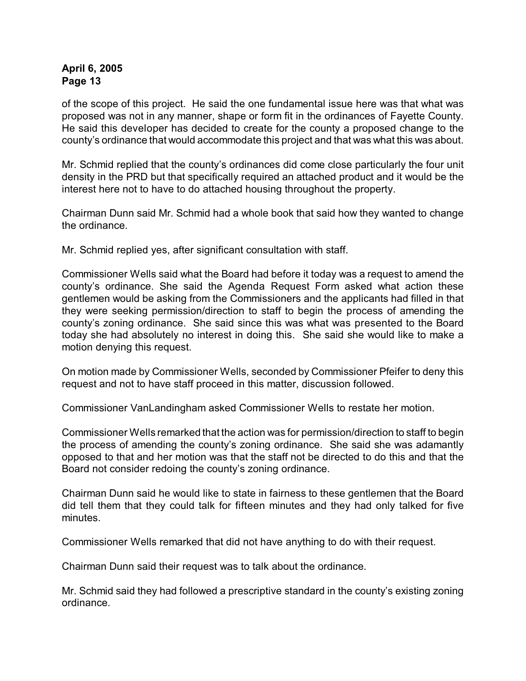of the scope of this project. He said the one fundamental issue here was that what was proposed was not in any manner, shape or form fit in the ordinances of Fayette County. He said this developer has decided to create for the county a proposed change to the county's ordinance that would accommodate this project and that was what this was about.

Mr. Schmid replied that the county's ordinances did come close particularly the four unit density in the PRD but that specifically required an attached product and it would be the interest here not to have to do attached housing throughout the property.

Chairman Dunn said Mr. Schmid had a whole book that said how they wanted to change the ordinance.

Mr. Schmid replied yes, after significant consultation with staff.

Commissioner Wells said what the Board had before it today was a request to amend the county's ordinance. She said the Agenda Request Form asked what action these gentlemen would be asking from the Commissioners and the applicants had filled in that they were seeking permission/direction to staff to begin the process of amending the county's zoning ordinance. She said since this was what was presented to the Board today she had absolutely no interest in doing this. She said she would like to make a motion denying this request.

On motion made by Commissioner Wells, seconded by Commissioner Pfeifer to deny this request and not to have staff proceed in this matter, discussion followed.

Commissioner VanLandingham asked Commissioner Wells to restate her motion.

Commissioner Wells remarked that the action was for permission/direction to staff to begin the process of amending the county's zoning ordinance. She said she was adamantly opposed to that and her motion was that the staff not be directed to do this and that the Board not consider redoing the county's zoning ordinance.

Chairman Dunn said he would like to state in fairness to these gentlemen that the Board did tell them that they could talk for fifteen minutes and they had only talked for five minutes.

Commissioner Wells remarked that did not have anything to do with their request.

Chairman Dunn said their request was to talk about the ordinance.

Mr. Schmid said they had followed a prescriptive standard in the county's existing zoning ordinance.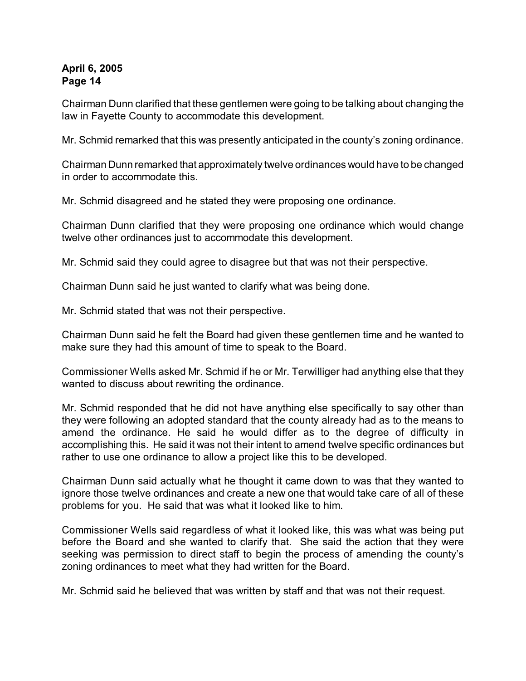Chairman Dunn clarified that these gentlemen were going to be talking about changing the law in Fayette County to accommodate this development.

Mr. Schmid remarked that this was presently anticipated in the county's zoning ordinance.

Chairman Dunn remarked that approximately twelve ordinances would have to be changed in order to accommodate this.

Mr. Schmid disagreed and he stated they were proposing one ordinance.

Chairman Dunn clarified that they were proposing one ordinance which would change twelve other ordinances just to accommodate this development.

Mr. Schmid said they could agree to disagree but that was not their perspective.

Chairman Dunn said he just wanted to clarify what was being done.

Mr. Schmid stated that was not their perspective.

Chairman Dunn said he felt the Board had given these gentlemen time and he wanted to make sure they had this amount of time to speak to the Board.

Commissioner Wells asked Mr. Schmid if he or Mr. Terwilliger had anything else that they wanted to discuss about rewriting the ordinance.

Mr. Schmid responded that he did not have anything else specifically to say other than they were following an adopted standard that the county already had as to the means to amend the ordinance. He said he would differ as to the degree of difficulty in accomplishing this. He said it was not their intent to amend twelve specific ordinances but rather to use one ordinance to allow a project like this to be developed.

Chairman Dunn said actually what he thought it came down to was that they wanted to ignore those twelve ordinances and create a new one that would take care of all of these problems for you. He said that was what it looked like to him.

Commissioner Wells said regardless of what it looked like, this was what was being put before the Board and she wanted to clarify that. She said the action that they were seeking was permission to direct staff to begin the process of amending the county's zoning ordinances to meet what they had written for the Board.

Mr. Schmid said he believed that was written by staff and that was not their request.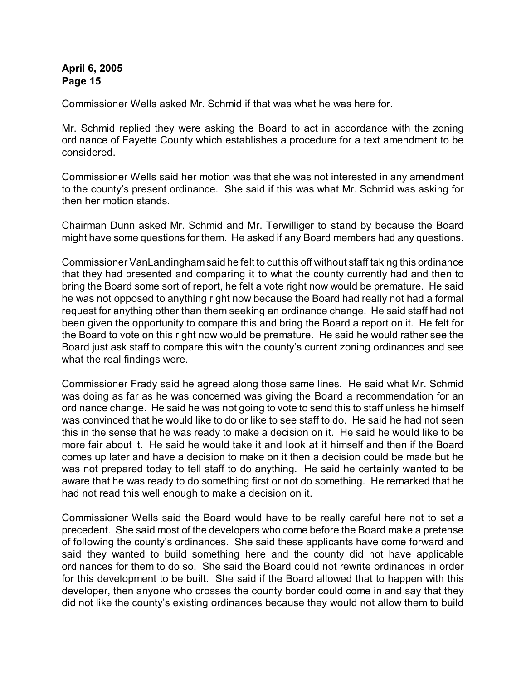Commissioner Wells asked Mr. Schmid if that was what he was here for.

Mr. Schmid replied they were asking the Board to act in accordance with the zoning ordinance of Fayette County which establishes a procedure for a text amendment to be considered.

Commissioner Wells said her motion was that she was not interested in any amendment to the county's present ordinance. She said if this was what Mr. Schmid was asking for then her motion stands.

Chairman Dunn asked Mr. Schmid and Mr. Terwilliger to stand by because the Board might have some questions for them. He asked if any Board members had any questions.

Commissioner VanLandinghamsaid he felt to cut this off without staff taking this ordinance that they had presented and comparing it to what the county currently had and then to bring the Board some sort of report, he felt a vote right now would be premature. He said he was not opposed to anything right now because the Board had really not had a formal request for anything other than them seeking an ordinance change. He said staff had not been given the opportunity to compare this and bring the Board a report on it. He felt for the Board to vote on this right now would be premature. He said he would rather see the Board just ask staff to compare this with the county's current zoning ordinances and see what the real findings were.

Commissioner Frady said he agreed along those same lines. He said what Mr. Schmid was doing as far as he was concerned was giving the Board a recommendation for an ordinance change. He said he was not going to vote to send this to staff unless he himself was convinced that he would like to do or like to see staff to do. He said he had not seen this in the sense that he was ready to make a decision on it. He said he would like to be more fair about it. He said he would take it and look at it himself and then if the Board comes up later and have a decision to make on it then a decision could be made but he was not prepared today to tell staff to do anything. He said he certainly wanted to be aware that he was ready to do something first or not do something. He remarked that he had not read this well enough to make a decision on it.

Commissioner Wells said the Board would have to be really careful here not to set a precedent. She said most of the developers who come before the Board make a pretense of following the county's ordinances. She said these applicants have come forward and said they wanted to build something here and the county did not have applicable ordinances for them to do so. She said the Board could not rewrite ordinances in order for this development to be built. She said if the Board allowed that to happen with this developer, then anyone who crosses the county border could come in and say that they did not like the county's existing ordinances because they would not allow them to build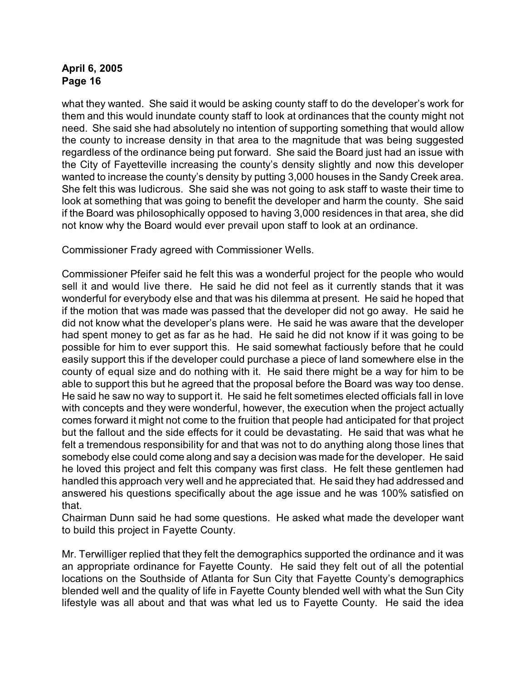what they wanted. She said it would be asking county staff to do the developer's work for them and this would inundate county staff to look at ordinances that the county might not need. She said she had absolutely no intention of supporting something that would allow the county to increase density in that area to the magnitude that was being suggested regardless of the ordinance being put forward. She said the Board just had an issue with the City of Fayetteville increasing the county's density slightly and now this developer wanted to increase the county's density by putting 3,000 houses in the Sandy Creek area. She felt this was ludicrous. She said she was not going to ask staff to waste their time to look at something that was going to benefit the developer and harm the county. She said if the Board was philosophically opposed to having 3,000 residences in that area, she did not know why the Board would ever prevail upon staff to look at an ordinance.

Commissioner Frady agreed with Commissioner Wells.

Commissioner Pfeifer said he felt this was a wonderful project for the people who would sell it and would live there. He said he did not feel as it currently stands that it was wonderful for everybody else and that was his dilemma at present. He said he hoped that if the motion that was made was passed that the developer did not go away. He said he did not know what the developer's plans were. He said he was aware that the developer had spent money to get as far as he had. He said he did not know if it was going to be possible for him to ever support this. He said somewhat factiously before that he could easily support this if the developer could purchase a piece of land somewhere else in the county of equal size and do nothing with it. He said there might be a way for him to be able to support this but he agreed that the proposal before the Board was way too dense. He said he saw no way to support it. He said he felt sometimes elected officials fall in love with concepts and they were wonderful, however, the execution when the project actually comes forward it might not come to the fruition that people had anticipated for that project but the fallout and the side effects for it could be devastating. He said that was what he felt a tremendous responsibility for and that was not to do anything along those lines that somebody else could come along and say a decision was made for the developer. He said he loved this project and felt this company was first class. He felt these gentlemen had handled this approach very well and he appreciated that. He said they had addressed and answered his questions specifically about the age issue and he was 100% satisfied on that.

Chairman Dunn said he had some questions. He asked what made the developer want to build this project in Fayette County.

Mr. Terwilliger replied that they felt the demographics supported the ordinance and it was an appropriate ordinance for Fayette County. He said they felt out of all the potential locations on the Southside of Atlanta for Sun City that Fayette County's demographics blended well and the quality of life in Fayette County blended well with what the Sun City lifestyle was all about and that was what led us to Fayette County. He said the idea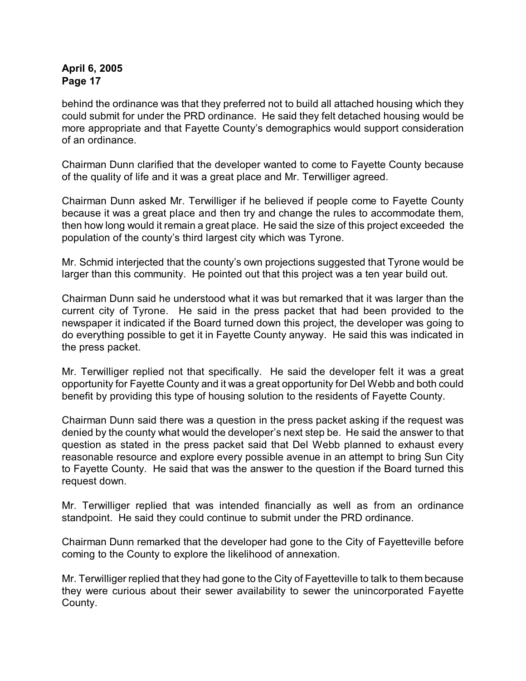behind the ordinance was that they preferred not to build all attached housing which they could submit for under the PRD ordinance. He said they felt detached housing would be more appropriate and that Fayette County's demographics would support consideration of an ordinance.

Chairman Dunn clarified that the developer wanted to come to Fayette County because of the quality of life and it was a great place and Mr. Terwilliger agreed.

Chairman Dunn asked Mr. Terwilliger if he believed if people come to Fayette County because it was a great place and then try and change the rules to accommodate them, then how long would it remain a great place. He said the size of this project exceeded the population of the county's third largest city which was Tyrone.

Mr. Schmid interjected that the county's own projections suggested that Tyrone would be larger than this community. He pointed out that this project was a ten year build out.

Chairman Dunn said he understood what it was but remarked that it was larger than the current city of Tyrone. He said in the press packet that had been provided to the newspaper it indicated if the Board turned down this project, the developer was going to do everything possible to get it in Fayette County anyway. He said this was indicated in the press packet.

Mr. Terwilliger replied not that specifically. He said the developer felt it was a great opportunity for Fayette County and it was a great opportunity for Del Webb and both could benefit by providing this type of housing solution to the residents of Fayette County.

Chairman Dunn said there was a question in the press packet asking if the request was denied by the county what would the developer's next step be. He said the answer to that question as stated in the press packet said that Del Webb planned to exhaust every reasonable resource and explore every possible avenue in an attempt to bring Sun City to Fayette County. He said that was the answer to the question if the Board turned this request down.

Mr. Terwilliger replied that was intended financially as well as from an ordinance standpoint. He said they could continue to submit under the PRD ordinance.

Chairman Dunn remarked that the developer had gone to the City of Fayetteville before coming to the County to explore the likelihood of annexation.

Mr. Terwilliger replied that they had gone to the City of Fayetteville to talk to them because they were curious about their sewer availability to sewer the unincorporated Fayette County.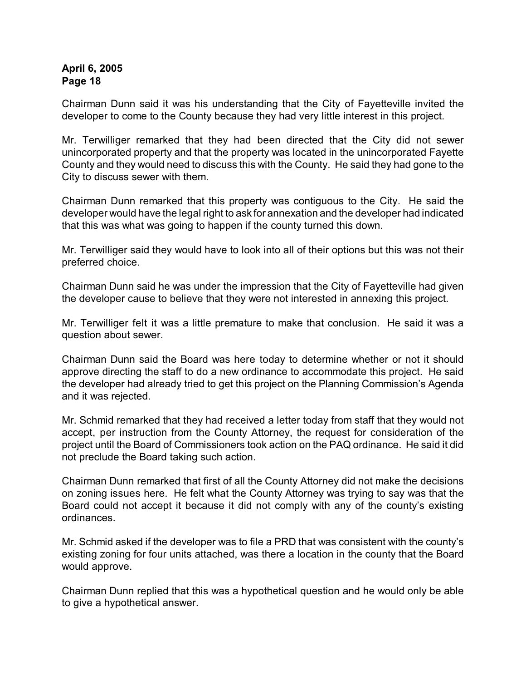Chairman Dunn said it was his understanding that the City of Fayetteville invited the developer to come to the County because they had very little interest in this project.

Mr. Terwilliger remarked that they had been directed that the City did not sewer unincorporated property and that the property was located in the unincorporated Fayette County and they would need to discuss this with the County. He said they had gone to the City to discuss sewer with them.

Chairman Dunn remarked that this property was contiguous to the City. He said the developer would have the legal right to ask for annexation and the developer had indicated that this was what was going to happen if the county turned this down.

Mr. Terwilliger said they would have to look into all of their options but this was not their preferred choice.

Chairman Dunn said he was under the impression that the City of Fayetteville had given the developer cause to believe that they were not interested in annexing this project.

Mr. Terwilliger felt it was a little premature to make that conclusion. He said it was a question about sewer.

Chairman Dunn said the Board was here today to determine whether or not it should approve directing the staff to do a new ordinance to accommodate this project. He said the developer had already tried to get this project on the Planning Commission's Agenda and it was rejected.

Mr. Schmid remarked that they had received a letter today from staff that they would not accept, per instruction from the County Attorney, the request for consideration of the project until the Board of Commissioners took action on the PAQ ordinance. He said it did not preclude the Board taking such action.

Chairman Dunn remarked that first of all the County Attorney did not make the decisions on zoning issues here. He felt what the County Attorney was trying to say was that the Board could not accept it because it did not comply with any of the county's existing ordinances.

Mr. Schmid asked if the developer was to file a PRD that was consistent with the county's existing zoning for four units attached, was there a location in the county that the Board would approve.

Chairman Dunn replied that this was a hypothetical question and he would only be able to give a hypothetical answer.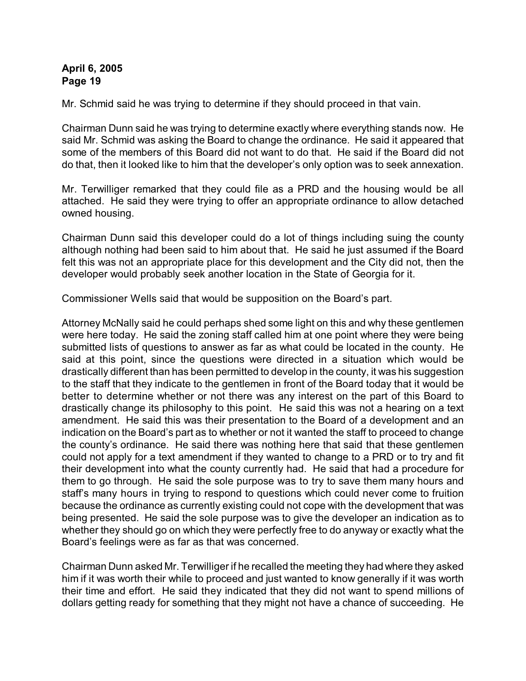Mr. Schmid said he was trying to determine if they should proceed in that vain.

Chairman Dunn said he was trying to determine exactly where everything stands now. He said Mr. Schmid was asking the Board to change the ordinance. He said it appeared that some of the members of this Board did not want to do that. He said if the Board did not do that, then it looked like to him that the developer's only option was to seek annexation.

Mr. Terwilliger remarked that they could file as a PRD and the housing would be all attached. He said they were trying to offer an appropriate ordinance to allow detached owned housing.

Chairman Dunn said this developer could do a lot of things including suing the county although nothing had been said to him about that. He said he just assumed if the Board felt this was not an appropriate place for this development and the City did not, then the developer would probably seek another location in the State of Georgia for it.

Commissioner Wells said that would be supposition on the Board's part.

Attorney McNally said he could perhaps shed some light on this and why these gentlemen were here today. He said the zoning staff called him at one point where they were being submitted lists of questions to answer as far as what could be located in the county. He said at this point, since the questions were directed in a situation which would be drastically different than has been permitted to develop in the county, it was his suggestion to the staff that they indicate to the gentlemen in front of the Board today that it would be better to determine whether or not there was any interest on the part of this Board to drastically change its philosophy to this point. He said this was not a hearing on a text amendment. He said this was their presentation to the Board of a development and an indication on the Board's part as to whether or not it wanted the staff to proceed to change the county's ordinance. He said there was nothing here that said that these gentlemen could not apply for a text amendment if they wanted to change to a PRD or to try and fit their development into what the county currently had. He said that had a procedure for them to go through. He said the sole purpose was to try to save them many hours and staff's many hours in trying to respond to questions which could never come to fruition because the ordinance as currently existing could not cope with the development that was being presented. He said the sole purpose was to give the developer an indication as to whether they should go on which they were perfectly free to do anyway or exactly what the Board's feelings were as far as that was concerned.

Chairman Dunn asked Mr. Terwilliger if he recalled the meeting they had where they asked him if it was worth their while to proceed and just wanted to know generally if it was worth their time and effort. He said they indicated that they did not want to spend millions of dollars getting ready for something that they might not have a chance of succeeding. He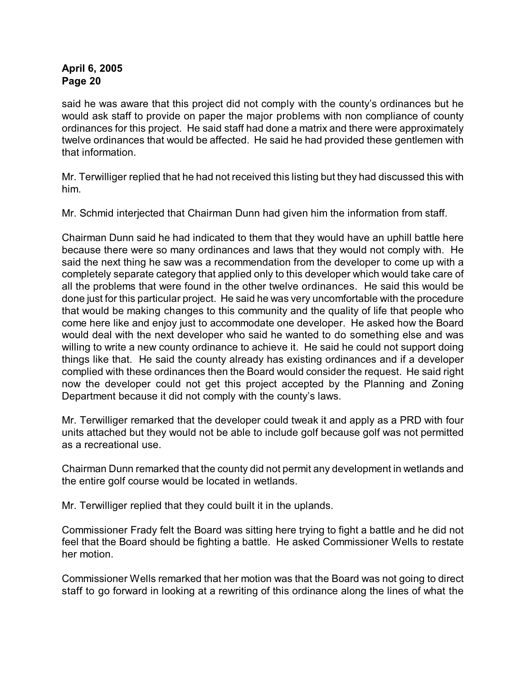said he was aware that this project did not comply with the county's ordinances but he would ask staff to provide on paper the major problems with non compliance of county ordinances for this project. He said staff had done a matrix and there were approximately twelve ordinances that would be affected. He said he had provided these gentlemen with that information.

Mr. Terwilliger replied that he had not received this listing but they had discussed this with him.

Mr. Schmid interjected that Chairman Dunn had given him the information from staff.

Chairman Dunn said he had indicated to them that they would have an uphill battle here because there were so many ordinances and laws that they would not comply with. He said the next thing he saw was a recommendation from the developer to come up with a completely separate category that applied only to this developer which would take care of all the problems that were found in the other twelve ordinances. He said this would be done just for this particular project. He said he was very uncomfortable with the procedure that would be making changes to this community and the quality of life that people who come here like and enjoy just to accommodate one developer. He asked how the Board would deal with the next developer who said he wanted to do something else and was willing to write a new county ordinance to achieve it. He said he could not support doing things like that. He said the county already has existing ordinances and if a developer complied with these ordinances then the Board would consider the request. He said right now the developer could not get this project accepted by the Planning and Zoning Department because it did not comply with the county's laws.

Mr. Terwilliger remarked that the developer could tweak it and apply as a PRD with four units attached but they would not be able to include golf because golf was not permitted as a recreational use.

Chairman Dunn remarked that the county did not permit any development in wetlands and the entire golf course would be located in wetlands.

Mr. Terwilliger replied that they could built it in the uplands.

Commissioner Frady felt the Board was sitting here trying to fight a battle and he did not feel that the Board should be fighting a battle. He asked Commissioner Wells to restate her motion.

Commissioner Wells remarked that her motion was that the Board was not going to direct staff to go forward in looking at a rewriting of this ordinance along the lines of what the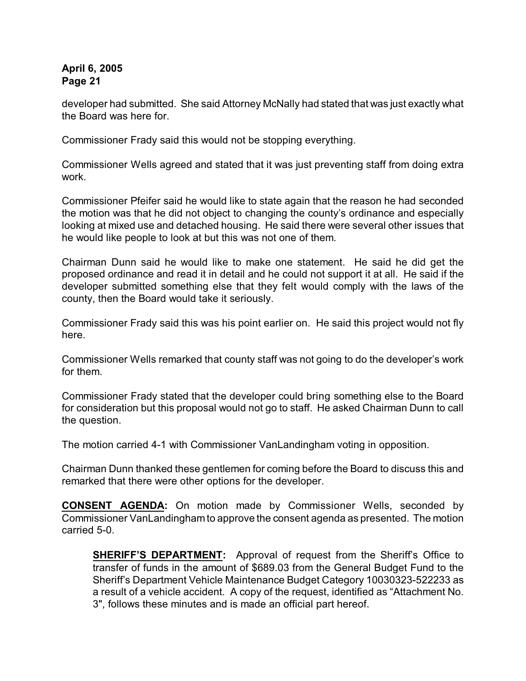developer had submitted. She said Attorney McNally had stated that was just exactly what the Board was here for.

Commissioner Frady said this would not be stopping everything.

Commissioner Wells agreed and stated that it was just preventing staff from doing extra work.

Commissioner Pfeifer said he would like to state again that the reason he had seconded the motion was that he did not object to changing the county's ordinance and especially looking at mixed use and detached housing. He said there were several other issues that he would like people to look at but this was not one of them.

Chairman Dunn said he would like to make one statement. He said he did get the proposed ordinance and read it in detail and he could not support it at all. He said if the developer submitted something else that they felt would comply with the laws of the county, then the Board would take it seriously.

Commissioner Frady said this was his point earlier on. He said this project would not fly here.

Commissioner Wells remarked that county staff was not going to do the developer's work for them.

Commissioner Frady stated that the developer could bring something else to the Board for consideration but this proposal would not go to staff. He asked Chairman Dunn to call the question.

The motion carried 4-1 with Commissioner VanLandingham voting in opposition.

Chairman Dunn thanked these gentlemen for coming before the Board to discuss this and remarked that there were other options for the developer.

**CONSENT AGENDA:** On motion made by Commissioner Wells, seconded by Commissioner VanLandingham to approve the consent agenda as presented. The motion carried 5-0.

**SHERIFF'S DEPARTMENT:** Approval of request from the Sheriff's Office to transfer of funds in the amount of \$689.03 from the General Budget Fund to the Sheriff's Department Vehicle Maintenance Budget Category 10030323-522233 as a result of a vehicle accident. A copy of the request, identified as "Attachment No. 3", follows these minutes and is made an official part hereof.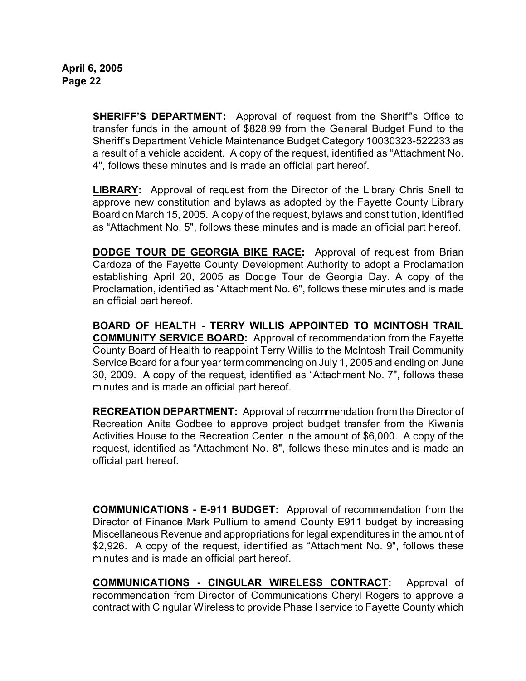**SHERIFF'S DEPARTMENT:** Approval of request from the Sheriff's Office to transfer funds in the amount of \$828.99 from the General Budget Fund to the Sheriff's Department Vehicle Maintenance Budget Category 10030323-522233 as a result of a vehicle accident. A copy of the request, identified as "Attachment No. 4", follows these minutes and is made an official part hereof.

**LIBRARY:** Approval of request from the Director of the Library Chris Snell to approve new constitution and bylaws as adopted by the Fayette County Library Board on March 15, 2005.A copy of the request, bylaws and constitution, identified as "Attachment No. 5", follows these minutes and is made an official part hereof.

**DODGE TOUR DE GEORGIA BIKE RACE:** Approval of request from Brian Cardoza of the Fayette County Development Authority to adopt a Proclamation establishing April 20, 2005 as Dodge Tour de Georgia Day. A copy of the Proclamation, identified as "Attachment No. 6", follows these minutes and is made an official part hereof.

**BOARD OF HEALTH - TERRY WILLIS APPOINTED TO MCINTOSH TRAIL COMMUNITY SERVICE BOARD:** Approval of recommendation from the Fayette County Board of Health to reappoint Terry Willis to the McIntosh Trail Community Service Board for a four year term commencing on July 1, 2005 and ending on June 30, 2009. A copy of the request, identified as "Attachment No. 7", follows these minutes and is made an official part hereof.

**RECREATION DEPARTMENT:** Approval of recommendation from the Director of Recreation Anita Godbee to approve project budget transfer from the Kiwanis Activities House to the Recreation Center in the amount of \$6,000. A copy of the request, identified as "Attachment No. 8", follows these minutes and is made an official part hereof.

**COMMUNICATIONS - E-911 BUDGET:** Approval of recommendation from the Director of Finance Mark Pullium to amend County E911 budget by increasing Miscellaneous Revenue and appropriations for legal expenditures in the amount of \$2,926. A copy of the request, identified as "Attachment No. 9", follows these minutes and is made an official part hereof.

**COMMUNICATIONS - CINGULAR WIRELESS CONTRACT:** Approval of recommendation from Director of Communications Cheryl Rogers to approve a contract with Cingular Wireless to provide Phase I service to Fayette County which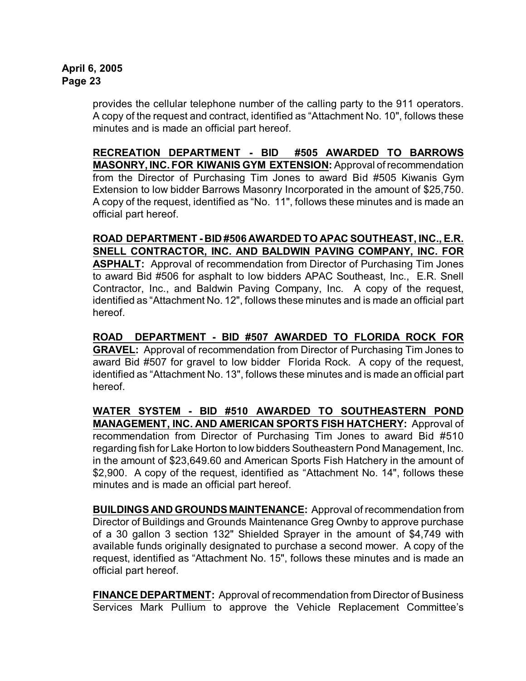provides the cellular telephone number of the calling party to the 911 operators. A copy of the request and contract, identified as "Attachment No. 10", follows these minutes and is made an official part hereof.

**RECREATION DEPARTMENT - BID #505 AWARDED TO BARROWS MASONRY, INC. FOR KIWANIS GYM EXTENSION:** Approval of recommendation from the Director of Purchasing Tim Jones to award Bid #505 Kiwanis Gym Extension to low bidder Barrows Masonry Incorporated in the amount of \$25,750. A copy of the request, identified as "No. 11", follows these minutes and is made an official part hereof.

**ROAD DEPARTMENT - BID #506 AWARDED TO APAC SOUTHEAST, INC., E.R. SNELL CONTRACTOR, INC. AND BALDWIN PAVING COMPANY, INC. FOR ASPHALT:** Approval of recommendation from Director of Purchasing Tim Jones to award Bid #506 for asphalt to low bidders APAC Southeast, Inc., E.R. Snell Contractor, Inc., and Baldwin Paving Company, Inc. A copy of the request, identified as "Attachment No. 12", follows these minutes and is made an official part hereof.

**ROAD DEPARTMENT - BID #507 AWARDED TO FLORIDA ROCK FOR GRAVEL:** Approval of recommendation from Director of Purchasing Tim Jones to award Bid #507 for gravel to low bidder Florida Rock. A copy of the request, identified as "Attachment No. 13", follows these minutes and is made an official part hereof.

**WATER SYSTEM - BID #510 AWARDED TO SOUTHEASTERN POND MANAGEMENT, INC. AND AMERICAN SPORTS FISH HATCHERY:** Approval of recommendation from Director of Purchasing Tim Jones to award Bid #510 regarding fish for Lake Horton to low bidders Southeastern Pond Management, Inc. in the amount of \$23,649.60 and American Sports Fish Hatchery in the amount of \$2,900. A copy of the request, identified as "Attachment No. 14", follows these minutes and is made an official part hereof.

**BUILDINGS AND GROUNDS MAINTENANCE:** Approval of recommendation from Director of Buildings and Grounds Maintenance Greg Ownby to approve purchase of a 30 gallon 3 section 132" Shielded Sprayer in the amount of \$4,749 with available funds originally designated to purchase a second mower. A copy of the request, identified as "Attachment No. 15", follows these minutes and is made an official part hereof.

**FINANCE DEPARTMENT:** Approval of recommendation from Director of Business Services Mark Pullium to approve the Vehicle Replacement Committee's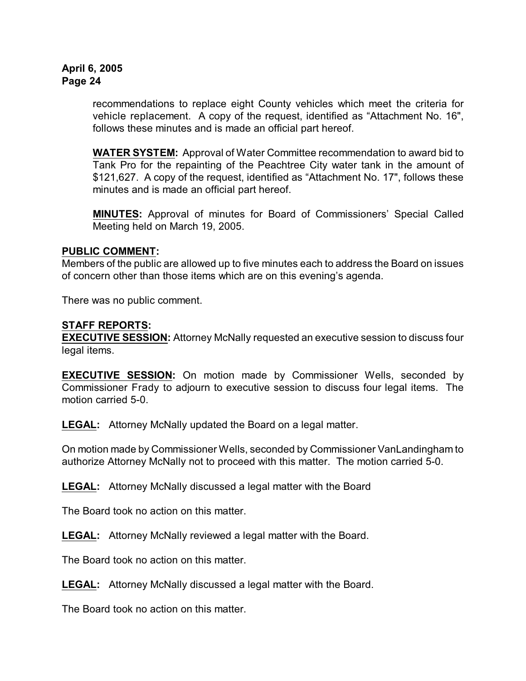recommendations to replace eight County vehicles which meet the criteria for vehicle replacement. A copy of the request, identified as "Attachment No. 16", follows these minutes and is made an official part hereof.

**WATER SYSTEM:** Approval of Water Committee recommendation to award bid to Tank Pro for the repainting of the Peachtree City water tank in the amount of \$121,627. A copy of the request, identified as "Attachment No. 17", follows these minutes and is made an official part hereof.

**MINUTES:** Approval of minutes for Board of Commissioners' Special Called Meeting held on March 19, 2005.

### **PUBLIC COMMENT:**

Members of the public are allowed up to five minutes each to address the Board on issues of concern other than those items which are on this evening's agenda.

There was no public comment.

### **STAFF REPORTS:**

**EXECUTIVE SESSION:** Attorney McNally requested an executive session to discuss four legal items.

**EXECUTIVE SESSION:** On motion made by Commissioner Wells, seconded by Commissioner Frady to adjourn to executive session to discuss four legal items. The motion carried 5-0.

**LEGAL:** Attorney McNally updated the Board on a legal matter.

On motion made by Commissioner Wells, seconded by Commissioner VanLandingham to authorize Attorney McNally not to proceed with this matter. The motion carried 5-0.

**LEGAL:** Attorney McNally discussed a legal matter with the Board

The Board took no action on this matter.

**LEGAL:** Attorney McNally reviewed a legal matter with the Board.

The Board took no action on this matter.

**LEGAL:** Attorney McNally discussed a legal matter with the Board.

The Board took no action on this matter.